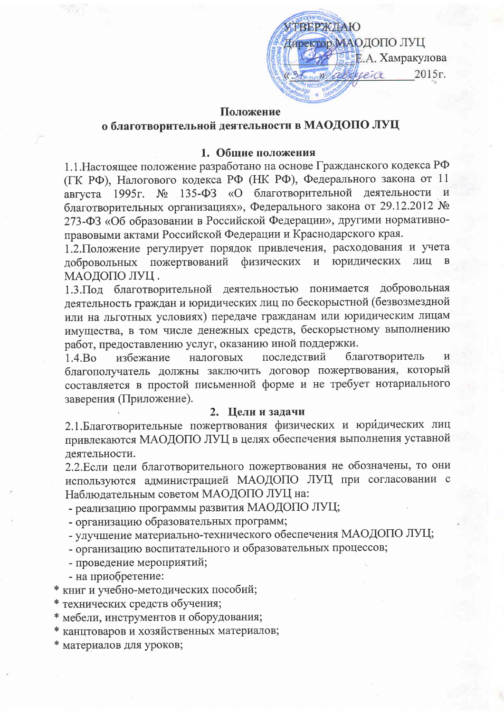ТВЕРЖДАЮ Директор МАОДОПО ЛУЦ **ВЕЕ.А. Хамракулова** abbeleice 2015г.  $\rightarrow$ 

#### Положение

## о благотворительной деятельности в МАОДОПО ЛУЦ

## 1. Общие положения

1.1. Настоящее положение разработано на основе Гражданского кодекса РФ (ГК РФ), Налогового кодекса РФ (НК РФ), Федерального закона от 11 135-ФЗ «О благотворительной деятельности августа 1995г.  $N_2$ благотворительных организациях», Федерального закона от 29.12.2012 № 273-ФЗ «Об образовании в Российской Федерации», другими нормативноправовыми актами Российской Федерации и Краснодарского края.

1.2. Положение регулирует порядок привлечения, расходования и учета пожертвований физических и юридических ЛИЦ добровольных МАОДОПО ЛУЦ.

1.3. Под благотворительной деятельностью понимается добровольная деятельность граждан и юридических лиц по бескорыстной (безвозмездной или на льготных условиях) передаче гражданам или юридическим лицам имущества, в том числе денежных средств, бескорыстному выполнению работ, предоставлению услуг, оказанию иной поддержки.

последствий благотворитель избежание налоговых  $1.4.Bo$ благополучатель должны заключить договор пожертвования, который составляется в простой письменной форме и не требует нотариального заверения (Приложение).

### 2. Цели и задачи

2.1. Благотворительные пожертвования физических и юридических лиц привлекаются МАОДОПО ЛУЦ в целях обеспечения выполнения уставной деятельности.

2.2. Если цели благотворительного пожертвования не обозначены, то они используются администрацией МАОДОПО ЛУЦ при согласовании с Наблюдательным советом МАОДОПО ЛУЦ на:

- реализацию программы развития МАОДОПО ЛУЦ;

- организацию образовательных программ;

- улучшение материально-технического обеспечения МАОДОПО ЛУЦ;

- организацию воспитательного и образовательных процессов;

- проведение мероприятий;

- на приобретение:

книг и учебно-методических пособий;

технических средств обучения;

мебели, инструментов и оборудования;

канцтоваров и хозяйственных материалов;

материалов для уроков;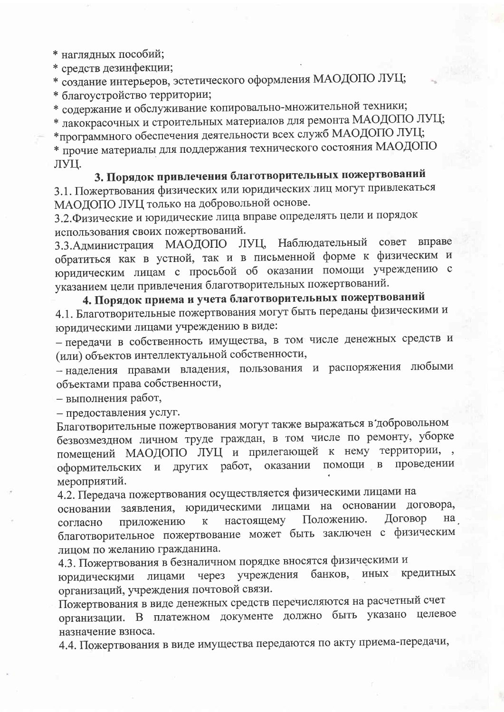\* наглядных пособий;

\* средств дезинфекции;

\* создание интерьеров, эстетического оформления МАОДОПО ЛУЦ;

\* благоустройство территории;

\* содержание и обслуживание копировально-множительной техники;

\* лакокрасочных и строительных материалов для ремонта МАОДОПО ЛУЦ; \*программного обеспечения деятельности всех служб МАОДОПО ЛУЦ; \* прочие материалы для поддержания технического состояния МАОДОПО ЛУЦ.

# 3. Порядок привлечения благотворительных пожертвований

3.1. Пожертвования физических или юридических лиц могут привлекаться МАОДОПО ЛУЦ только на добровольной основе.

3.2. Физические и юридические лица вправе определять цели и порядок использования своих пожертвований.

3.3. Администрация МАОДОПО ЛУЦ, Наблюдательный совет вправе обратиться как в устной, так и в письменной форме к физическим и юридическим лицам с просьбой об оказании помощи учреждению с указанием цели привлечения благотворительных пожертвований.

4. Порядок приема и учета благотворительных пожертвований 4.1. Благотворительные пожертвования могут быть переданы физическими и юридическими лицами учреждению в виде:

- передачи в собственность имущества, в том числе денежных средств и (или) объектов интеллектуальной собственности,

- наделения правами владения, пользования и распоряжения любыми объектами права собственности,

- выполнения работ,

- предоставления услуг.

Благотворительные пожертвования могут также выражаться в добровольном безвозмездном личном труде граждан, в том числе по ремонту, уборке помещений МАОДОПО ЛУЦ и прилегающей к нему территории, оформительских и других работ, оказании помощи в проведении мероприятий.

4.2. Передача пожертвования осуществляется физическими лицами на основании заявления, юридическими лицами на основании договора, Договор Положению. на настоящему приложению  ${\bf K}$ согласно благотворительное пожертвование может быть заключен с физическим лицом по желанию гражданина.

4.3. Пожертвования в безналичном порядке вносятся физическими и банков, иных кредитных через учреждения юридическими лицами организаций, учреждения почтовой связи.

Пожертвования в виде денежных средств перечисляются на расчетный счет организации. В платежном документе должно быть указано целевое назначение взноса.

4.4. Пожертвования в виде имущества передаются по акту приема-передачи,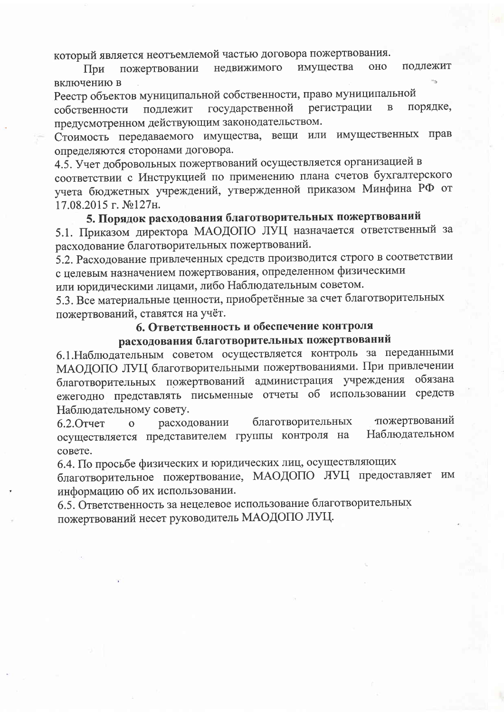который является неотъемлемой частью договора пожертвования.

имущества **OHO** подлежит недвижимого пожертвовании При включению в

Реестр объектов муниципальной собственности, право муниципальной

регистрации порядке, государственной  $\overline{B}$ подлежит собственности предусмотренном действующим законодательством.

Стоимость передаваемого имущества, вещи или имущественных прав определяются сторонами договора.

4.5. Учет добровольных пожертвований осуществляется организацией в соответствии с Инструкцией по применению плана счетов бухгалтерского учета бюджетных учреждений, утвержденной приказом Минфина РФ от 17.08.2015 г. №127н.

# 5. Порядок расходования благотворительных пожертвований

5.1. Приказом директора МАОДОПО ЛУЦ назначается ответственный за расходование благотворительных пожертвований.

5.2. Расходование привлеченных средств производится строго в соответствии с целевым назначением пожертвования, определенном физическими

или юридическими лицами, либо Наблюдательным советом.

5.3. Все материальные ценности, приобретённые за счет благотворительных пожертвований, ставятся на учёт.

### 6. Ответственность и обеспечение контроля

# расходования благотворительных пожертвований

6.1. Наблюдательным советом осуществляется контроль за переданными МАОДОПО ЛУЦ благотворительными пожертвованиями. При привлечении благотворительных пожертвований администрация учреждения обязана ежегодно представлять письменные отчеты об использовании средств Наблюдательному совету.

тожертвований благотворительных  $6.2.$ Отчет расходовании  $\overline{O}$ осуществляется представителем группы контроля на Наблюдательном совете.

6.4. По просьбе физических и юридических лиц, осуществляющих

благотворительное пожертвование, МАОДОПО ЛУЦ предоставляет им информацию об их использовании.

6.5. Ответственность за нецелевое использование благотворительных пожертвований несет руководитель МАОДОПО ЛУЦ.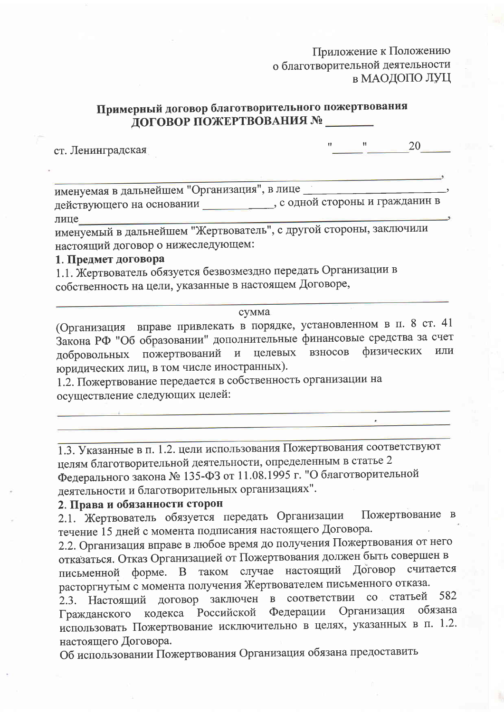## Приложение к Положению о благотворительной деятельности в МАОДОПО ЛУЦ

## Примерный договор благотворительного пожертвования ДОГОВОР ПОЖЕРТВОВАНИЯ №

ст. Ленинградская

 $\pmb{\mathcal{H}}$ 20

 $\epsilon$ 

именуемая в дальнейшем "Организация", в лице действующего на основании прати прати с одной стороны и гражданин в лице

именуемый в дальнейшем "Жертвователь", с другой стороны, заключили настоящий договор о нижеследующем:

## 1. Предмет договора

1.1. Жертвователь обязуется безвозмездно передать Организации в собственность на цели, указанные в настоящем Договоре,

### сумма

(Организация вправе привлекать в порядке, установленном в п. 8 ст. 41 Закона РФ "Об образовании" дополнительные финансовые средства за счет добровольных пожертвований и целевых взносов физических ИЛИ юридических лиц, в том числе иностранных).

1.2. Пожертвование передается в собственность организации на осуществление следующих целей:

1.3. Указанные в п. 1.2. цели использования Пожертвования соответствуют целям благотворительной деятельности, определенным в статье 2 Федерального закона № 135-ФЗ от 11.08.1995 г. "О благотворительной деятельности и благотворительных организациях".

## 2. Права и обязанности сторон

Пожертвование в 2.1. Жертвователь обязуется передать Организации течение 15 дней с момента подписания настоящего Договора.

2.2. Организация вправе в любое время до получения Пожертвования от него отказаться. Отказ Организацией от Пожертвования должен быть совершен в форме. В таком случае настоящий Договор считается письменной расторгнутым с момента получения Жертвователем письменного отказа.

2.3. Настоящий договор заключен в соответствии со статьей 582 обязана Организация Федерации кодекса Российской Гражданского использовать Пожертвование исключительно в целях, указанных в п. 1.2. настоящего Договора.

Об использовании Пожертвования Организация обязана предоставить